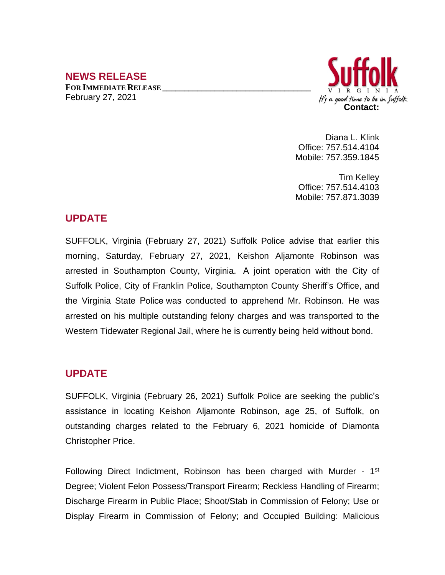# **NEWS RELEASE**

**FOR IMMEDIATE RELEASE \_\_\_\_\_\_\_\_\_\_\_\_\_\_\_\_\_\_\_\_\_\_\_\_\_\_\_\_\_\_\_\_\_\_** February 27, 2021



Diana L. Klink Office: 757.514.4104 Mobile: 757.359.1845

Tim Kelley Office: 757.514.4103 Mobile: 757.871.3039

### **UPDATE**

SUFFOLK, Virginia (February 27, 2021) Suffolk Police advise that earlier this morning, Saturday, February 27, 2021, Keishon Aljamonte Robinson was arrested in Southampton County, Virginia. A joint operation with the City of Suffolk Police, City of Franklin Police, Southampton County Sheriff's Office, and the Virginia State Police was conducted to apprehend Mr. Robinson. He was arrested on his multiple outstanding felony charges and was transported to the Western Tidewater Regional Jail, where he is currently being held without bond.

## **UPDATE**

SUFFOLK, Virginia (February 26, 2021) Suffolk Police are seeking the public's assistance in locating Keishon Aljamonte Robinson, age 25, of Suffolk, on outstanding charges related to the February 6, 2021 homicide of Diamonta Christopher Price.

Following Direct Indictment, Robinson has been charged with Murder - 1<sup>st</sup> Degree; Violent Felon Possess/Transport Firearm; Reckless Handling of Firearm; Discharge Firearm in Public Place; Shoot/Stab in Commission of Felony; Use or Display Firearm in Commission of Felony; and Occupied Building: Malicious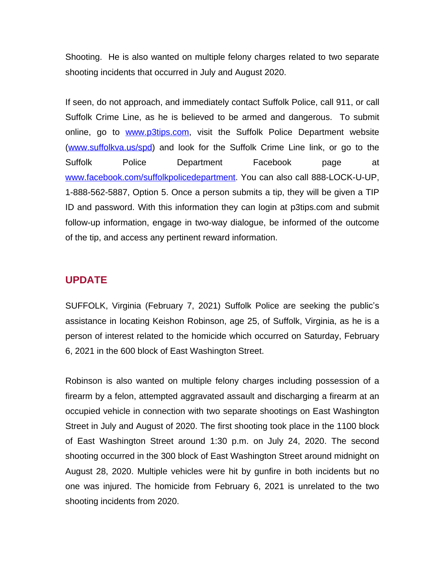Shooting. He is also wanted on multiple felony charges related to two separate shooting incidents that occurred in July and August 2020.

If seen, do not approach, and immediately contact Suffolk Police, call 911, or call Suffolk Crime Line, as he is believed to be armed and dangerous. To submit online, go to [www.p3tips.com](http://www.p3tips.com), visit the Suffolk Police Department website ([www.suffolkva.us/spd](http://www.suffolkva.us/spd)) and look for the Suffolk Crime Line link, or go to the Suffolk Police Department Facebook page at [www.facebook.com/suffolkpolicedepartment](http://www.facebook.com/suffolkpolicedepartment). You can also call 888-LOCK-U-UP, 1-888-562-5887, Option 5. Once a person submits a tip, they will be given a TIP ID and password. With this information they can login at p3tips.com and submit follow-up information, engage in two-way dialogue, be informed of the outcome of the tip, and access any pertinent reward information.

#### **UPDATE**

SUFFOLK, Virginia (February 7, 2021) Suffolk Police are seeking the public's assistance in locating Keishon Robinson, age 25, of Suffolk, Virginia, as he is a person of interest related to the homicide which occurred on Saturday, February 6, 2021 in the 600 block of East Washington Street.

Robinson is also wanted on multiple felony charges including possession of a firearm by a felon, attempted aggravated assault and discharging a firearm at an occupied vehicle in connection with two separate shootings on East Washington Street in July and August of 2020. The first shooting took place in the 1100 block of East Washington Street around 1:30 p.m. on July 24, 2020. The second shooting occurred in the 300 block of East Washington Street around midnight on August 28, 2020. Multiple vehicles were hit by gunfire in both incidents but no one was injured. The homicide from February 6, 2021 is unrelated to the two shooting incidents from 2020.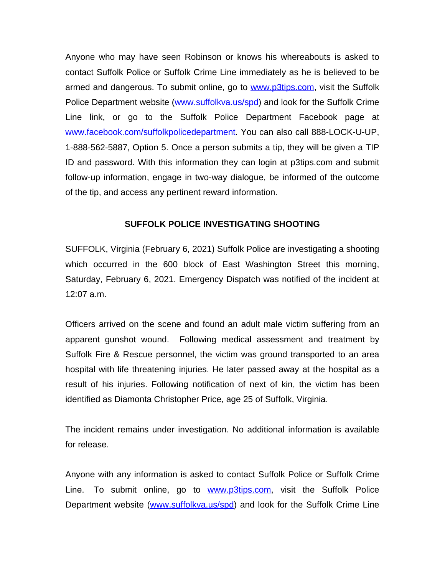Anyone who may have seen Robinson or knows his whereabouts is asked to contact Suffolk Police or Suffolk Crime Line immediately as he is believed to be armed and dangerous. To submit online, go to [www.p3tips.com](http://www.p3tips.com), visit the Suffolk Police Department website [\(www.suffolkva.us/spd\)](http://www.suffolkva.us/spd) and look for the Suffolk Crime Line link, or go to the Suffolk Police Department Facebook page at [www.facebook.com/suffolkpolicedepartment](http://www.facebook.com/suffolkpolicedepartment). You can also call 888-LOCK-U-UP, 1-888-562-5887, Option 5. Once a person submits a tip, they will be given a TIP ID and password. With this information they can login at p3tips.com and submit follow-up information, engage in two-way dialogue, be informed of the outcome of the tip, and access any pertinent reward information.

#### **SUFFOLK POLICE INVESTIGATING SHOOTING**

SUFFOLK, Virginia (February 6, 2021) Suffolk Police are investigating a shooting which occurred in the 600 block of East Washington Street this morning, Saturday, February 6, 2021. Emergency Dispatch was notified of the incident at 12:07 a.m.

Officers arrived on the scene and found an adult male victim suffering from an apparent gunshot wound. Following medical assessment and treatment by Suffolk Fire & Rescue personnel, the victim was ground transported to an area hospital with life threatening injuries. He later passed away at the hospital as a result of his injuries. Following notification of next of kin, the victim has been identified as Diamonta Christopher Price, age 25 of Suffolk, Virginia.

The incident remains under investigation. No additional information is available for release.

Anyone with any information is asked to contact Suffolk Police or Suffolk Crime Line. To submit online, go to **[www.p3tips.com](http://www.p3tips.com)**, visit the Suffolk Police Department website ([www.suffolkva.us/spd\)](http://www.suffolkva.us/spd) and look for the Suffolk Crime Line